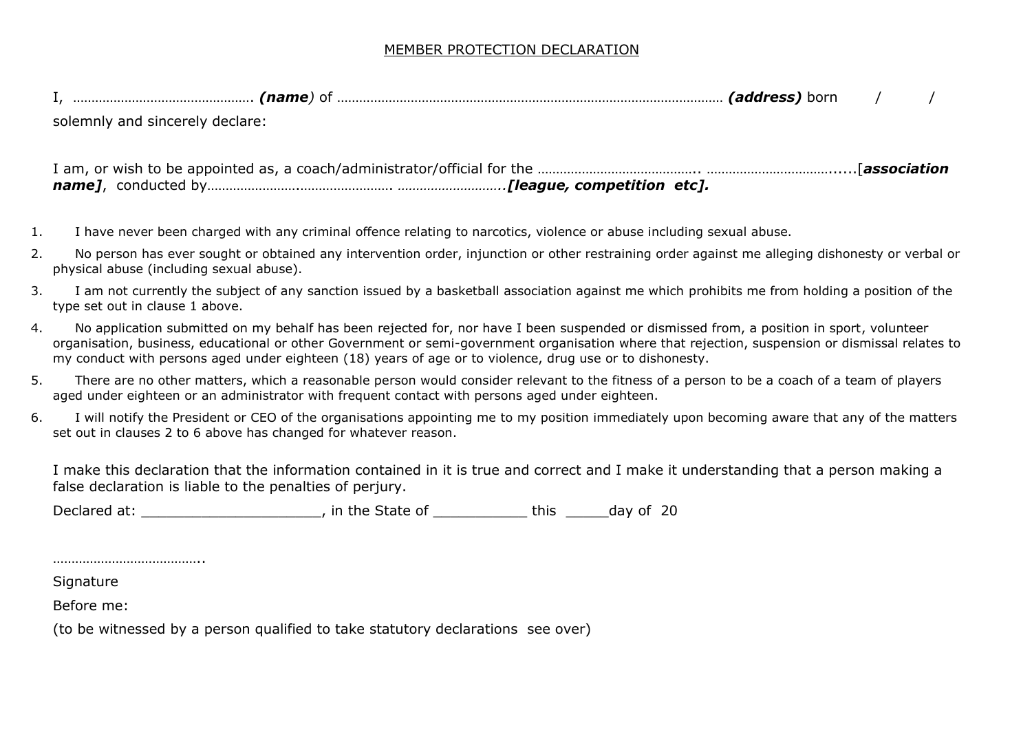## MEMBER PROTECTION DECLARATION

| norr |  |
|------|--|
|------|--|

solemnly and sincerely declare:

- 1. I have never been charged with any criminal offence relating to narcotics, violence or abuse including sexual abuse.
- 2. No person has ever sought or obtained any intervention order, injunction or other restraining order against me alleging dishonesty or verbal or physical abuse (including sexual abuse).
- 3. I am not currently the subject of any sanction issued by a basketball association against me which prohibits me from holding a position of the type set out in clause 1 above.
- 4. No application submitted on my behalf has been rejected for, nor have I been suspended or dismissed from, a position in sport, volunteer organisation, business, educational or other Government or semi-government organisation where that rejection, suspension or dismissal relates to my conduct with persons aged under eighteen (18) years of age or to violence, drug use or to dishonesty.
- 5. There are no other matters, which a reasonable person would consider relevant to the fitness of a person to be a coach of a team of players aged under eighteen or an administrator with frequent contact with persons aged under eighteen.
- 6. I will notify the President or CEO of the organisations appointing me to my position immediately upon becoming aware that any of the matters set out in clauses 2 to 6 above has changed for whatever reason.

I make this declaration that the information contained in it is true and correct and I make it understanding that a person making a false declaration is liable to the penalties of perjury.

Declared at: \_\_\_\_\_\_\_\_\_\_\_\_\_\_\_\_\_\_\_\_\_, in the State of \_\_\_\_\_\_\_\_\_\_\_\_\_ this \_\_\_\_\_\_day of 20

**Signature** 

…………………………………..

Before me:

(to be witnessed by a person qualified to take statutory declarations see over)